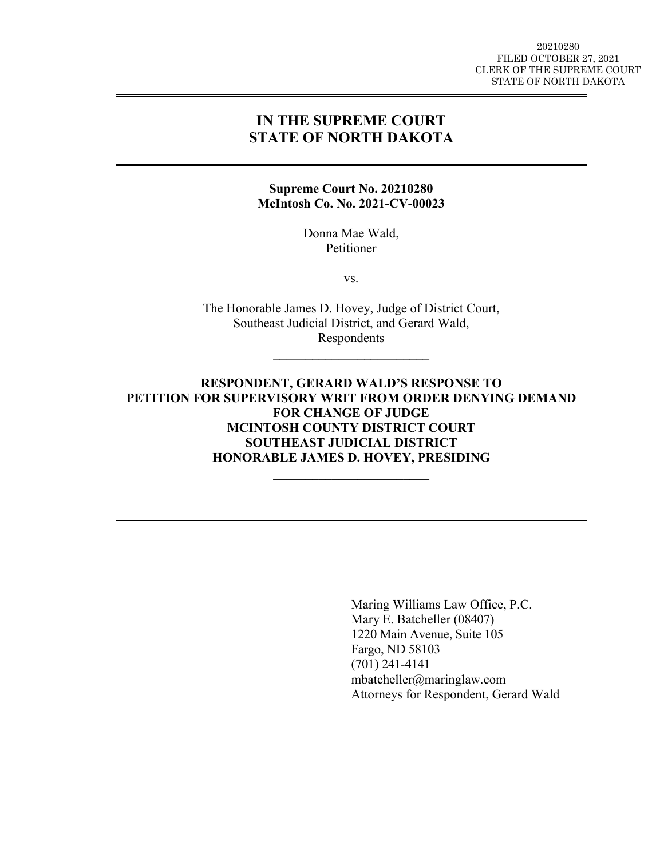#### 20210280 FILED OCTOBER 27, 2021 CLERK OF THE SUPREME COURT STATE OF NORTH DAKOTA

# **IN THE SUPREME COURT STATE OF NORTH DAKOTA**

#### **Supreme Court No. 20210280 McIntosh Co. No. 2021-CV-00023**

Donna Mae Wald, Petitioner

vs.

The Honorable James D. Hovey, Judge of District Court, Southeast Judicial District, and Gerard Wald, Respondents

**\_\_\_\_\_\_\_\_\_\_\_\_\_\_\_\_\_\_\_\_\_\_\_\_** 

**RESPONDENT, GERARD WALD'S RESPONSE TO PETITION FOR SUPERVISORY WRIT FROM ORDER DENYING DEMAND FOR CHANGE OF JUDGE MCINTOSH COUNTY DISTRICT COURT SOUTHEAST JUDICIAL DISTRICT HONORABLE JAMES D. HOVEY, PRESIDING**

**\_\_\_\_\_\_\_\_\_\_\_\_\_\_\_\_\_\_\_\_\_\_\_\_** 

Maring Williams Law Office, P.C. Mary E. Batcheller (08407) 1220 Main Avenue, Suite 105 Fargo, ND 58103 (701) 241-4141 mbatcheller@maringlaw.com Attorneys for Respondent, Gerard Wald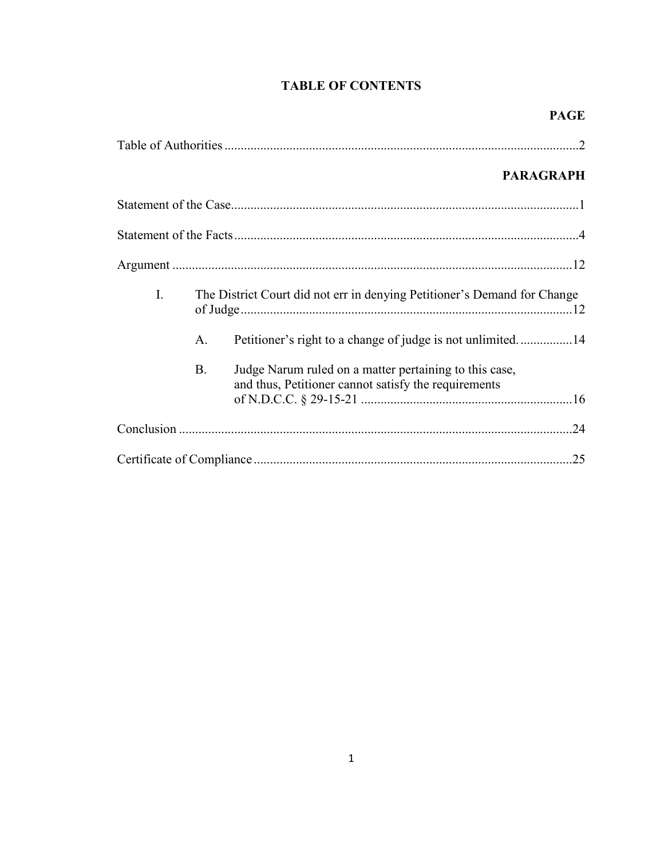# **TABLE OF CONTENTS**

|    |           |                                                                                                                | <b>PARAGRAPH</b> |
|----|-----------|----------------------------------------------------------------------------------------------------------------|------------------|
|    |           |                                                                                                                |                  |
|    |           |                                                                                                                |                  |
|    |           |                                                                                                                |                  |
| I. |           | The District Court did not err in denying Petitioner's Demand for Change                                       |                  |
|    | A.        | Petitioner's right to a change of judge is not unlimited14                                                     |                  |
|    | <b>B.</b> | Judge Narum ruled on a matter pertaining to this case,<br>and thus, Petitioner cannot satisfy the requirements |                  |
|    |           |                                                                                                                |                  |
|    |           |                                                                                                                |                  |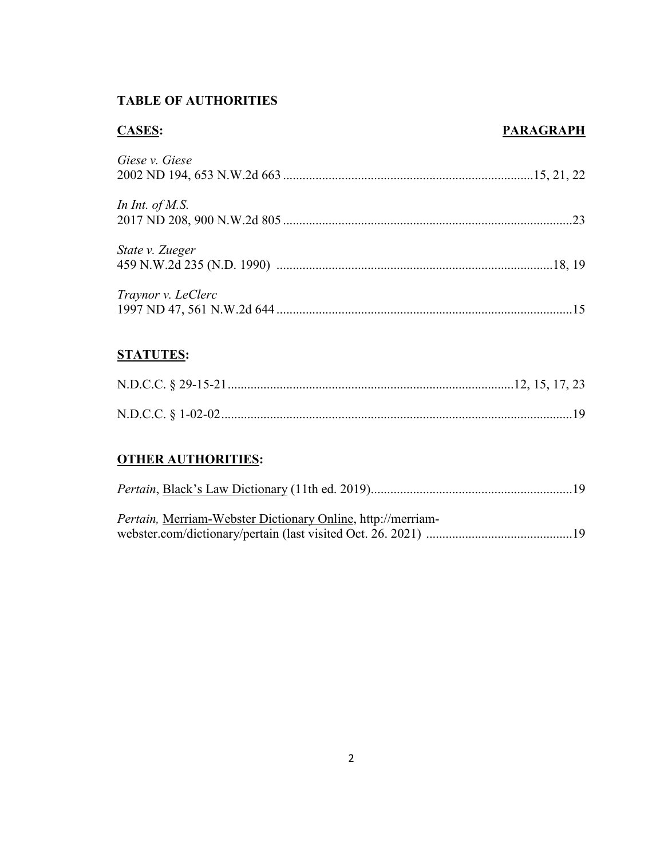# **TABLE OF AUTHORITIES**

## **CASES: PARAGRAPH**

| Giese v. Giese     |
|--------------------|
| In Int. of M.S.    |
| State v. Zueger    |
| Traynor v. LeClerc |

# **STATUTES:**

# **OTHER AUTHORITIES:**

| <i>Pertain</i> , Merriam-Webster Dictionary Online, http://merriam- |  |
|---------------------------------------------------------------------|--|
|                                                                     |  |
|                                                                     |  |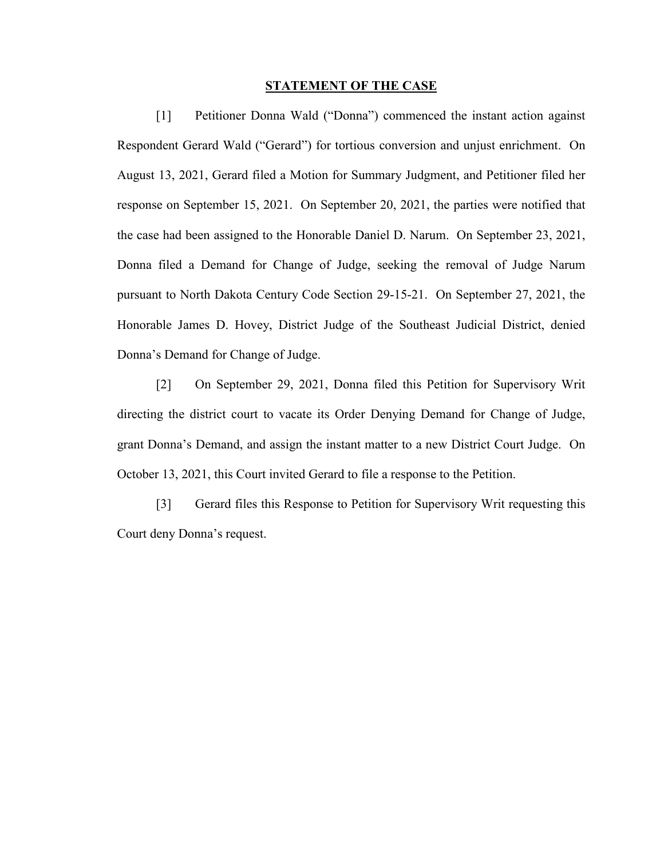#### **STATEMENT OF THE CASE**

[1] Petitioner Donna Wald ("Donna") commenced the instant action against Respondent Gerard Wald ("Gerard") for tortious conversion and unjust enrichment. On August 13, 2021, Gerard filed a Motion for Summary Judgment, and Petitioner filed her response on September 15, 2021. On September 20, 2021, the parties were notified that the case had been assigned to the Honorable Daniel D. Narum. On September 23, 2021, Donna filed a Demand for Change of Judge, seeking the removal of Judge Narum pursuant to North Dakota Century Code Section 29-15-21. On September 27, 2021, the Honorable James D. Hovey, District Judge of the Southeast Judicial District, denied Donna's Demand for Change of Judge.

[2] On September 29, 2021, Donna filed this Petition for Supervisory Writ directing the district court to vacate its Order Denying Demand for Change of Judge, grant Donna's Demand, and assign the instant matter to a new District Court Judge. On October 13, 2021, this Court invited Gerard to file a response to the Petition.

[3] Gerard files this Response to Petition for Supervisory Writ requesting this Court deny Donna's request.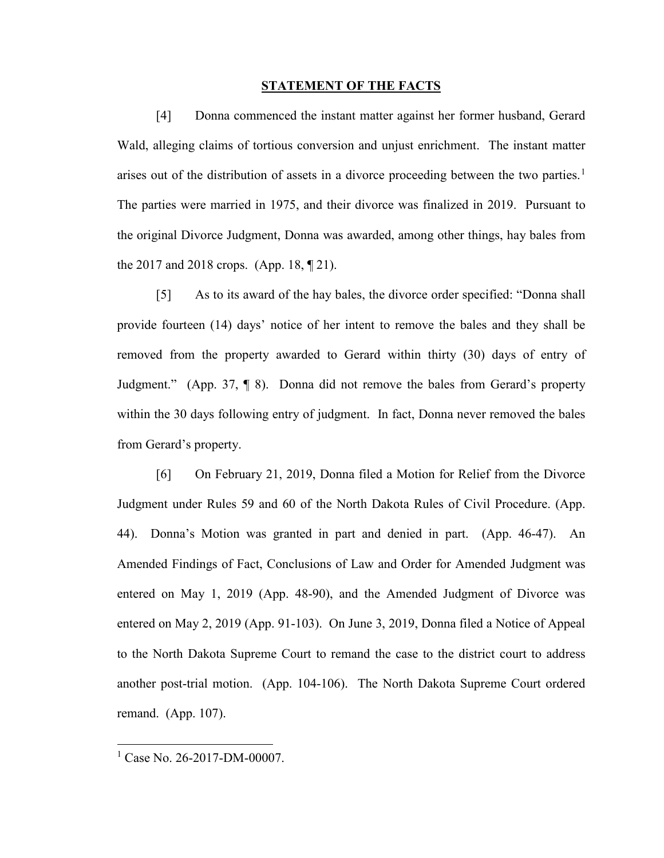#### **STATEMENT OF THE FACTS**

[4] Donna commenced the instant matter against her former husband, Gerard Wald, alleging claims of tortious conversion and unjust enrichment. The instant matter arises out of the distribution of assets in a divorce proceeding between the two parties.<sup>[1](#page-4-0)</sup> The parties were married in 1975, and their divorce was finalized in 2019. Pursuant to the original Divorce Judgment, Donna was awarded, among other things, hay bales from the 2017 and 2018 crops. (App. 18, ¶ 21).

[5] As to its award of the hay bales, the divorce order specified: "Donna shall provide fourteen (14) days' notice of her intent to remove the bales and they shall be removed from the property awarded to Gerard within thirty (30) days of entry of Judgment." (App. 37, ¶ 8). Donna did not remove the bales from Gerard's property within the 30 days following entry of judgment. In fact, Donna never removed the bales from Gerard's property.

[6] On February 21, 2019, Donna filed a Motion for Relief from the Divorce Judgment under Rules 59 and 60 of the North Dakota Rules of Civil Procedure. (App. 44). Donna's Motion was granted in part and denied in part. (App. 46-47). An Amended Findings of Fact, Conclusions of Law and Order for Amended Judgment was entered on May 1, 2019 (App. 48-90), and the Amended Judgment of Divorce was entered on May 2, 2019 (App. 91-103). On June 3, 2019, Donna filed a Notice of Appeal to the North Dakota Supreme Court to remand the case to the district court to address another post-trial motion. (App. 104-106). The North Dakota Supreme Court ordered remand. (App. 107).

 $\overline{a}$ 

<span id="page-4-0"></span> $1$  Case No. 26-2017-DM-00007.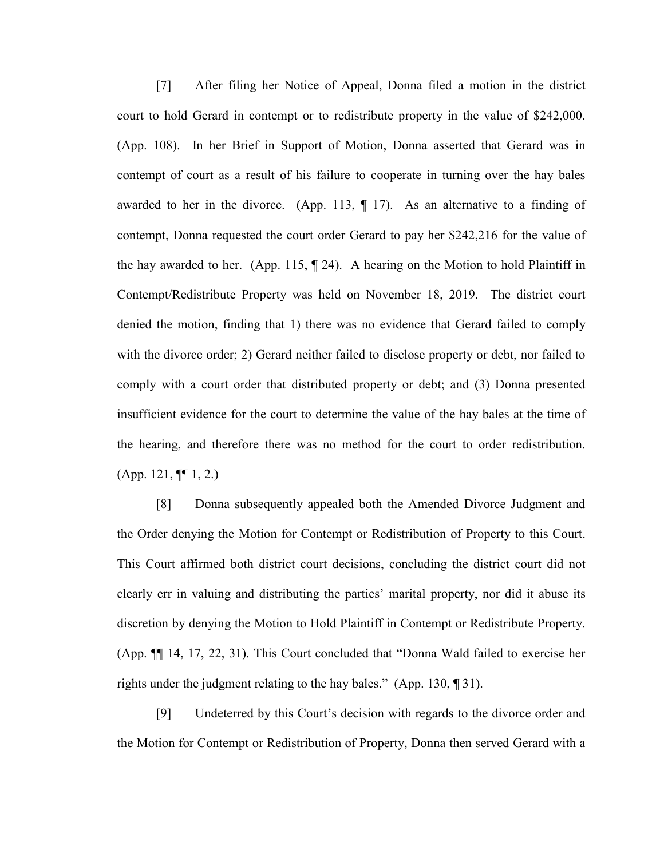[7] After filing her Notice of Appeal, Donna filed a motion in the district court to hold Gerard in contempt or to redistribute property in the value of \$242,000. (App. 108). In her Brief in Support of Motion, Donna asserted that Gerard was in contempt of court as a result of his failure to cooperate in turning over the hay bales awarded to her in the divorce. (App. 113,  $\P$  17). As an alternative to a finding of contempt, Donna requested the court order Gerard to pay her \$242,216 for the value of the hay awarded to her. (App. 115, ¶ 24). A hearing on the Motion to hold Plaintiff in Contempt/Redistribute Property was held on November 18, 2019. The district court denied the motion, finding that 1) there was no evidence that Gerard failed to comply with the divorce order; 2) Gerard neither failed to disclose property or debt, nor failed to comply with a court order that distributed property or debt; and (3) Donna presented insufficient evidence for the court to determine the value of the hay bales at the time of the hearing, and therefore there was no method for the court to order redistribution.  $(App. 121, \P[ 1, 2.])$ 

[8] Donna subsequently appealed both the Amended Divorce Judgment and the Order denying the Motion for Contempt or Redistribution of Property to this Court. This Court affirmed both district court decisions, concluding the district court did not clearly err in valuing and distributing the parties' marital property, nor did it abuse its discretion by denying the Motion to Hold Plaintiff in Contempt or Redistribute Property. (App. ¶¶ 14, 17, 22, 31). This Court concluded that "Donna Wald failed to exercise her rights under the judgment relating to the hay bales." (App. 130, ¶ 31).

[9] Undeterred by this Court's decision with regards to the divorce order and the Motion for Contempt or Redistribution of Property, Donna then served Gerard with a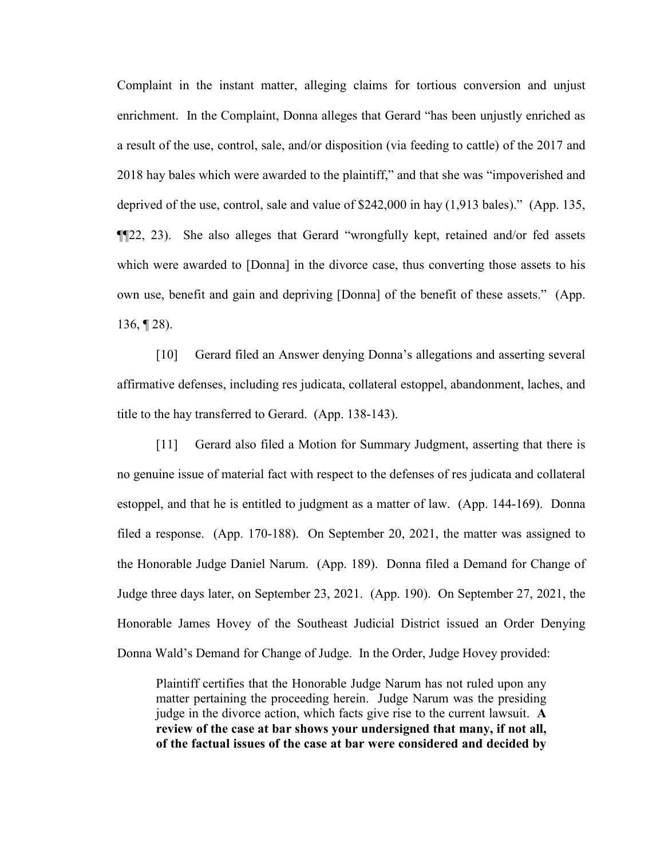Complaint in the instant matter, alleging claims for tortious conversion and unjust enrichment. In the Complaint, Donna alleges that Gerard "has been unjustly enriched as a result of the use, control, sale, and/or disposition (via feeding to cattle) of the 2017 and 2018 hay bales which were awarded to the plaintiff," and that she was "impoverished and deprived of the use, control, sale and value of \$242,000 in hay (1,913 bales)." (App. 135, ¶¶22, 23). She also alleges that Gerard "wrongfully kept, retained and/or fed assets which were awarded to [Donna] in the divorce case, thus converting those assets to his own use, benefit and gain and depriving [Donna] of the benefit of these assets." (App. 136, ¶ 28).

[10] Gerard filed an Answer denying Donna's allegations and asserting several affirmative defenses, including res judicata, collateral estoppel, abandonment, laches, and title to the hay transferred to Gerard. (App. 138-143).

[11] Gerard also filed a Motion for Summary Judgment, asserting that there is no genuine issue of material fact with respect to the defenses of res judicata and collateral estoppel, and that he is entitled to judgment as a matter of law. (App. 144-169). Donna filed a response. (App. 170-188). On September 20, 2021, the matter was assigned to the Honorable Judge Daniel Narum. (App. 189). Donna filed a Demand for Change of Judge three days later, on September 23, 2021. (App. 190). On September 27, 2021, the Honorable James Hovey of the Southeast Judicial District issued an Order Denying Donna Wald's Demand for Change of Judge. In the Order, Judge Hovey provided:

Plaintiff certifies that the Honorable Judge Narum has not ruled upon any matter pertaining the proceeding herein. Judge Narum was the presiding judge in the divorce action, which facts give rise to the current lawsuit. **A review of the case at bar shows your undersigned that many, if not all, of the factual issues of the case at bar were considered and decided by**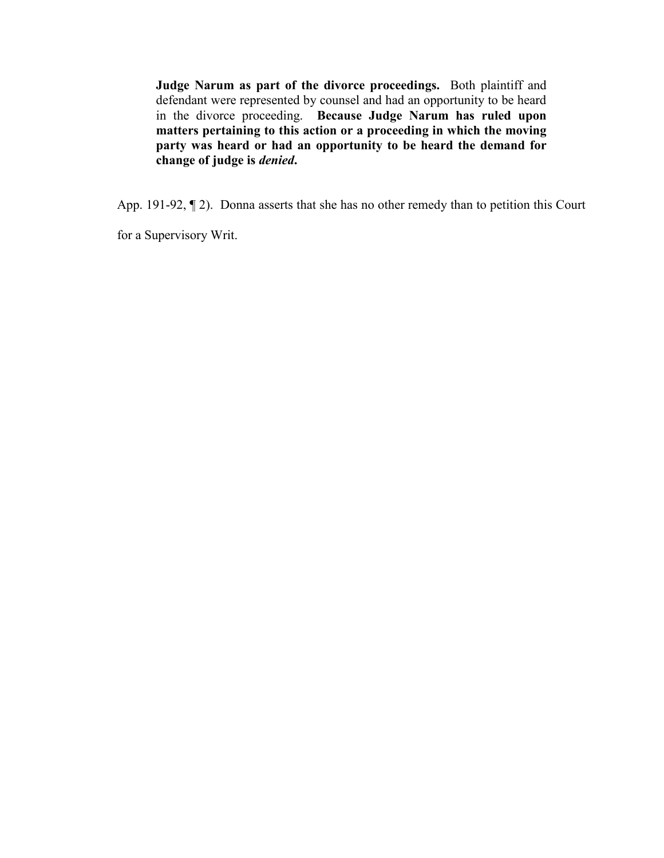**Judge Narum as part of the divorce proceedings.** Both plaintiff and defendant were represented by counsel and had an opportunity to be heard in the divorce proceeding. **Because Judge Narum has ruled upon matters pertaining to this action or a proceeding in which the moving party was heard or had an opportunity to be heard the demand for change of judge is** *denied***.** 

App. 191-92, ¶ 2). Donna asserts that she has no other remedy than to petition this Court

for a Supervisory Writ.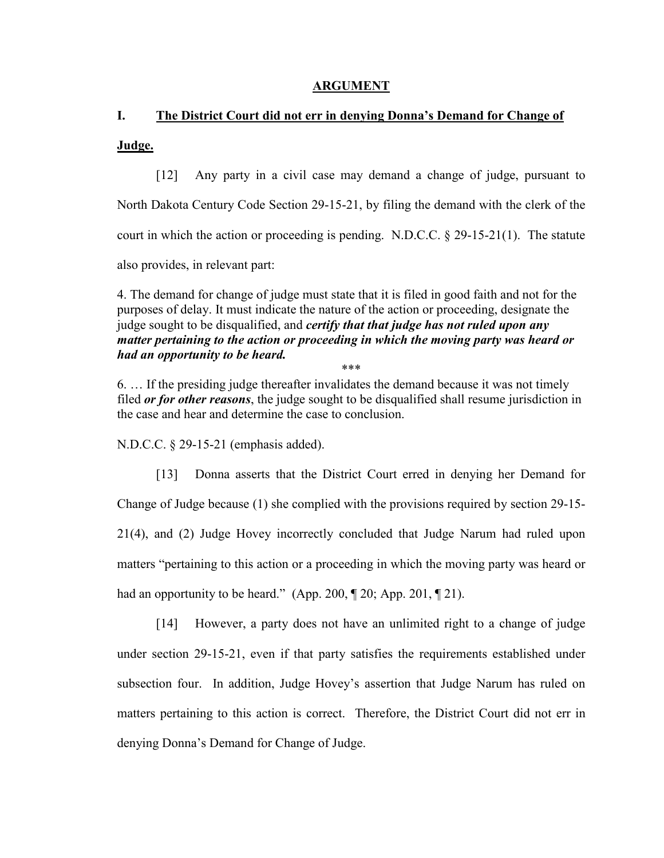### **ARGUMENT**

# **I. The District Court did not err in denying Donna's Demand for Change of Judge.**

[12] Any party in a civil case may demand a change of judge, pursuant to North Dakota Century Code Section 29-15-21, by filing the demand with the clerk of the court in which the action or proceeding is pending. N.D.C.C.  $\S 29-15-21(1)$ . The statute also provides, in relevant part:

4. The demand for change of judge must state that it is filed in good faith and not for the purposes of delay. It must indicate the nature of the action or proceeding, designate the judge sought to be disqualified, and *certify that that judge has not ruled upon any matter pertaining to the action or proceeding in which the moving party was heard or had an opportunity to be heard.* \*\*\*

6. … If the presiding judge thereafter invalidates the demand because it was not timely filed *or for other reasons*, the judge sought to be disqualified shall resume jurisdiction in the case and hear and determine the case to conclusion.

N.D.C.C. § 29-15-21 (emphasis added).

[13] Donna asserts that the District Court erred in denying her Demand for Change of Judge because (1) she complied with the provisions required by section 29-15- 21(4), and (2) Judge Hovey incorrectly concluded that Judge Narum had ruled upon matters "pertaining to this action or a proceeding in which the moving party was heard or had an opportunity to be heard." (App. 200, ¶ 20; App. 201, ¶ 21).

[14] However, a party does not have an unlimited right to a change of judge under section 29-15-21, even if that party satisfies the requirements established under subsection four. In addition, Judge Hovey's assertion that Judge Narum has ruled on matters pertaining to this action is correct. Therefore, the District Court did not err in denying Donna's Demand for Change of Judge.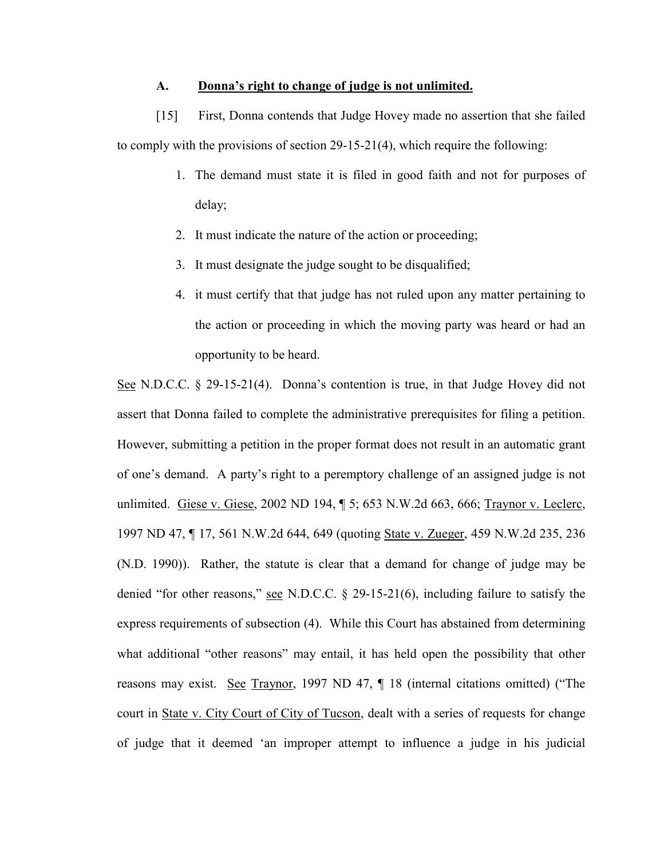#### **A. Donna's right to change of judge is not unlimited.**

[15] First, Donna contends that Judge Hovey made no assertion that she failed to comply with the provisions of section 29-15-21(4), which require the following:

- 1. The demand must state it is filed in good faith and not for purposes of delay;
- 2. It must indicate the nature of the action or proceeding;
- 3. It must designate the judge sought to be disqualified;
- 4. it must certify that that judge has not ruled upon any matter pertaining to the action or proceeding in which the moving party was heard or had an opportunity to be heard.

See N.D.C.C. § 29-15-21(4). Donna's contention is true, in that Judge Hovey did not assert that Donna failed to complete the administrative prerequisites for filing a petition. However, submitting a petition in the proper format does not result in an automatic grant of one's demand. A party's right to a peremptory challenge of an assigned judge is not unlimited. Giese v. Giese, 2002 ND 194, ¶ 5; 653 N.W.2d 663, 666; Traynor v. Leclerc, 1997 ND 47, ¶ 17, 561 N.W.2d 644, 649 (quoting State v. Zueger, 459 N.W.2d 235, 236 (N.D. 1990)). Rather, the statute is clear that a demand for change of judge may be denied "for other reasons," see N.D.C.C. § 29-15-21(6), including failure to satisfy the express requirements of subsection (4). While this Court has abstained from determining what additional "other reasons" may entail, it has held open the possibility that other reasons may exist. See Traynor, 1997 ND 47, 18 (internal citations omitted) ("The court in State v. City Court of City of Tucson, dealt with a series of requests for change of judge that it deemed 'an improper attempt to influence a judge in his judicial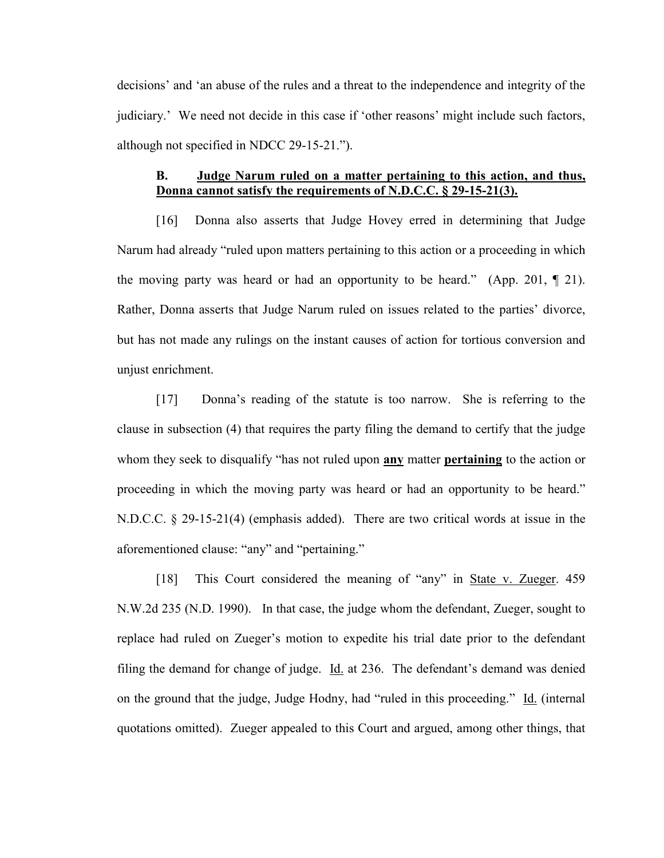decisions' and 'an abuse of the rules and a threat to the independence and integrity of the judiciary.' We need not decide in this case if 'other reasons' might include such factors, although not specified in NDCC 29-15-21.").

## **B. Judge Narum ruled on a matter pertaining to this action, and thus, Donna cannot satisfy the requirements of N.D.C.C. § 29-15-21(3).**

[16] Donna also asserts that Judge Hovey erred in determining that Judge Narum had already "ruled upon matters pertaining to this action or a proceeding in which the moving party was heard or had an opportunity to be heard." (App. 201,  $\P$  21). Rather, Donna asserts that Judge Narum ruled on issues related to the parties' divorce, but has not made any rulings on the instant causes of action for tortious conversion and unjust enrichment.

[17] Donna's reading of the statute is too narrow. She is referring to the clause in subsection (4) that requires the party filing the demand to certify that the judge whom they seek to disqualify "has not ruled upon **any** matter **pertaining** to the action or proceeding in which the moving party was heard or had an opportunity to be heard." N.D.C.C. § 29-15-21(4) (emphasis added). There are two critical words at issue in the aforementioned clause: "any" and "pertaining."

[18] This Court considered the meaning of "any" in State v. Zueger. 459 N.W.2d 235 (N.D. 1990). In that case, the judge whom the defendant, Zueger, sought to replace had ruled on Zueger's motion to expedite his trial date prior to the defendant filing the demand for change of judge. Id. at 236. The defendant's demand was denied on the ground that the judge, Judge Hodny, had "ruled in this proceeding." Id. (internal quotations omitted). Zueger appealed to this Court and argued, among other things, that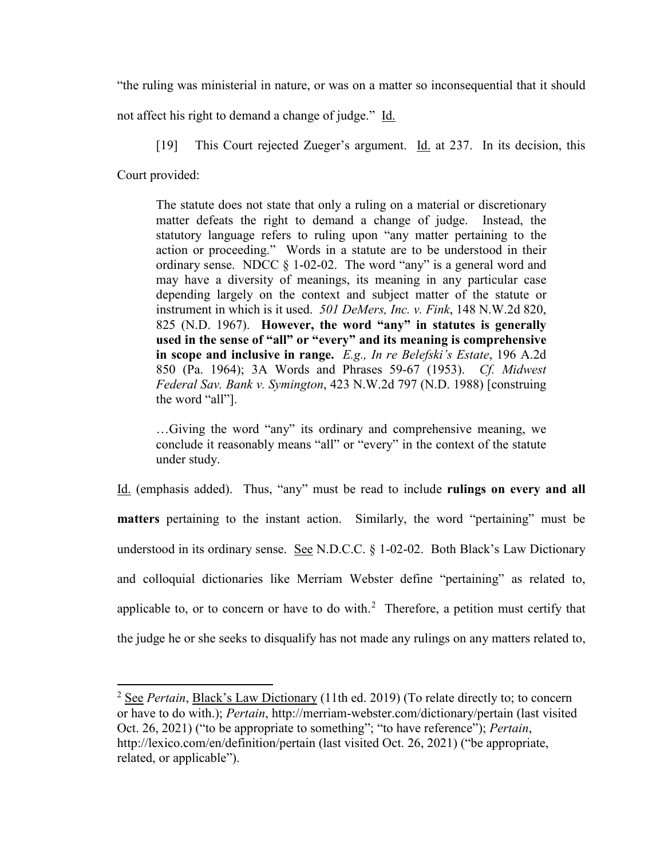"the ruling was ministerial in nature, or was on a matter so inconsequential that it should

not affect his right to demand a change of judge." Id.

[19] This Court rejected Zueger's argument. Id. at 237. In its decision, this

Court provided:

 $\overline{\phantom{a}}$ 

The statute does not state that only a ruling on a material or discretionary matter defeats the right to demand a change of judge. Instead, the statutory language refers to ruling upon "any matter pertaining to the action or proceeding." Words in a statute are to be understood in their ordinary sense. NDCC § 1-02-02. The word "any" is a general word and may have a diversity of meanings, its meaning in any particular case depending largely on the context and subject matter of the statute or instrument in which is it used. *501 DeMers, Inc. v. Fink*, 148 N.W.2d 820, 825 (N.D. 1967). **However, the word "any" in statutes is generally used in the sense of "all" or "every" and its meaning is comprehensive in scope and inclusive in range.** *E.g., In re Belefski's Estate*, 196 A.2d 850 (Pa. 1964); 3A Words and Phrases 59-67 (1953). *Cf. Midwest Federal Sav. Bank v. Symington*, 423 N.W.2d 797 (N.D. 1988) [construing the word "all"].

…Giving the word "any" its ordinary and comprehensive meaning, we conclude it reasonably means "all" or "every" in the context of the statute under study.

Id. (emphasis added). Thus, "any" must be read to include **rulings on every and all matters** pertaining to the instant action. Similarly, the word "pertaining" must be understood in its ordinary sense. See N.D.C.C. § 1-02-02. Both Black's Law Dictionary and colloquial dictionaries like Merriam Webster define "pertaining" as related to, applicable to, or to concern or have to do with. $^2$  $^2$  Therefore, a petition must certify that the judge he or she seeks to disqualify has not made any rulings on any matters related to,

<span id="page-11-0"></span><sup>2</sup> See *Pertain*, Black's Law Dictionary (11th ed. 2019) (To relate directly to; to concern or have to do with.); *Pertain*, http://merriam-webster.com/dictionary/pertain (last visited Oct. 26, 2021) ("to be appropriate to something"; "to have reference"); *Pertain*, http://lexico.com/en/definition/pertain (last visited Oct. 26, 2021) ("be appropriate, related, or applicable").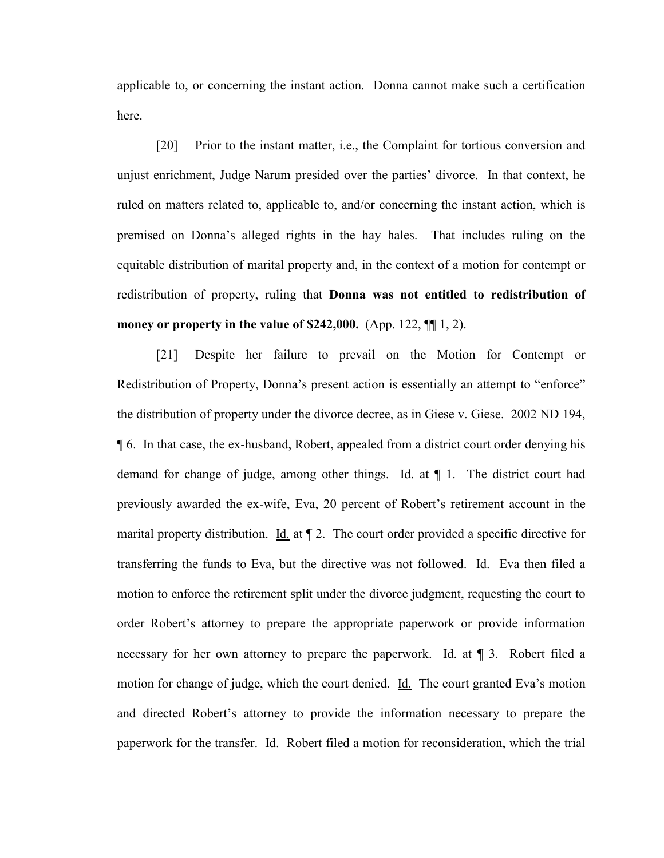applicable to, or concerning the instant action. Donna cannot make such a certification here.

[20] Prior to the instant matter, i.e., the Complaint for tortious conversion and unjust enrichment, Judge Narum presided over the parties' divorce. In that context, he ruled on matters related to, applicable to, and/or concerning the instant action, which is premised on Donna's alleged rights in the hay hales. That includes ruling on the equitable distribution of marital property and, in the context of a motion for contempt or redistribution of property, ruling that **Donna was not entitled to redistribution of money or property in the value of \$242,000.** (App. 122, ¶¶ 1, 2).

[21] Despite her failure to prevail on the Motion for Contempt or Redistribution of Property, Donna's present action is essentially an attempt to "enforce" the distribution of property under the divorce decree, as in Giese v. Giese. 2002 ND 194, ¶ 6. In that case, the ex-husband, Robert, appealed from a district court order denying his demand for change of judge, among other things. Id. at ¶ 1. The district court had previously awarded the ex-wife, Eva, 20 percent of Robert's retirement account in the marital property distribution. Id. at  $\P$  2. The court order provided a specific directive for transferring the funds to Eva, but the directive was not followed. Id. Eva then filed a motion to enforce the retirement split under the divorce judgment, requesting the court to order Robert's attorney to prepare the appropriate paperwork or provide information necessary for her own attorney to prepare the paperwork. Id. at ¶ 3. Robert filed a motion for change of judge, which the court denied. Id. The court granted Eva's motion and directed Robert's attorney to provide the information necessary to prepare the paperwork for the transfer. Id. Robert filed a motion for reconsideration, which the trial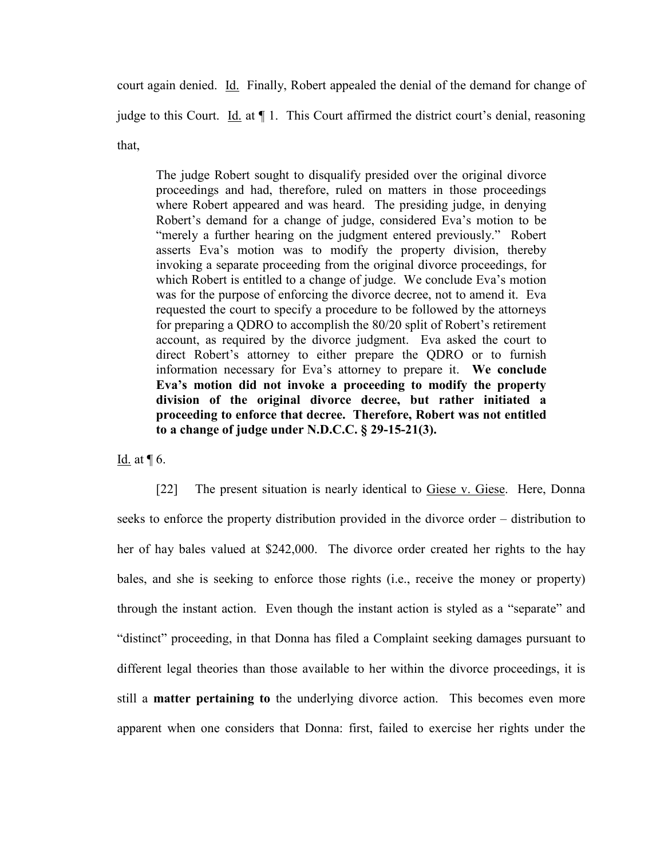court again denied. Id. Finally, Robert appealed the denial of the demand for change of judge to this Court. Id. at ¶ 1. This Court affirmed the district court's denial, reasoning that,

The judge Robert sought to disqualify presided over the original divorce proceedings and had, therefore, ruled on matters in those proceedings where Robert appeared and was heard. The presiding judge, in denying Robert's demand for a change of judge, considered Eva's motion to be "merely a further hearing on the judgment entered previously." Robert asserts Eva's motion was to modify the property division, thereby invoking a separate proceeding from the original divorce proceedings, for which Robert is entitled to a change of judge. We conclude Eva's motion was for the purpose of enforcing the divorce decree, not to amend it. Eva requested the court to specify a procedure to be followed by the attorneys for preparing a QDRO to accomplish the 80/20 split of Robert's retirement account, as required by the divorce judgment. Eva asked the court to direct Robert's attorney to either prepare the QDRO or to furnish information necessary for Eva's attorney to prepare it. **We conclude Eva's motion did not invoke a proceeding to modify the property division of the original divorce decree, but rather initiated a proceeding to enforce that decree. Therefore, Robert was not entitled to a change of judge under N.D.C.C. § 29-15-21(3).**

Id. at  $\P$  6.

[22] The present situation is nearly identical to Giese v. Giese. Here, Donna seeks to enforce the property distribution provided in the divorce order – distribution to her of hay bales valued at \$242,000. The divorce order created her rights to the hay bales, and she is seeking to enforce those rights (i.e., receive the money or property) through the instant action. Even though the instant action is styled as a "separate" and "distinct" proceeding, in that Donna has filed a Complaint seeking damages pursuant to different legal theories than those available to her within the divorce proceedings, it is still a **matter pertaining to** the underlying divorce action. This becomes even more apparent when one considers that Donna: first, failed to exercise her rights under the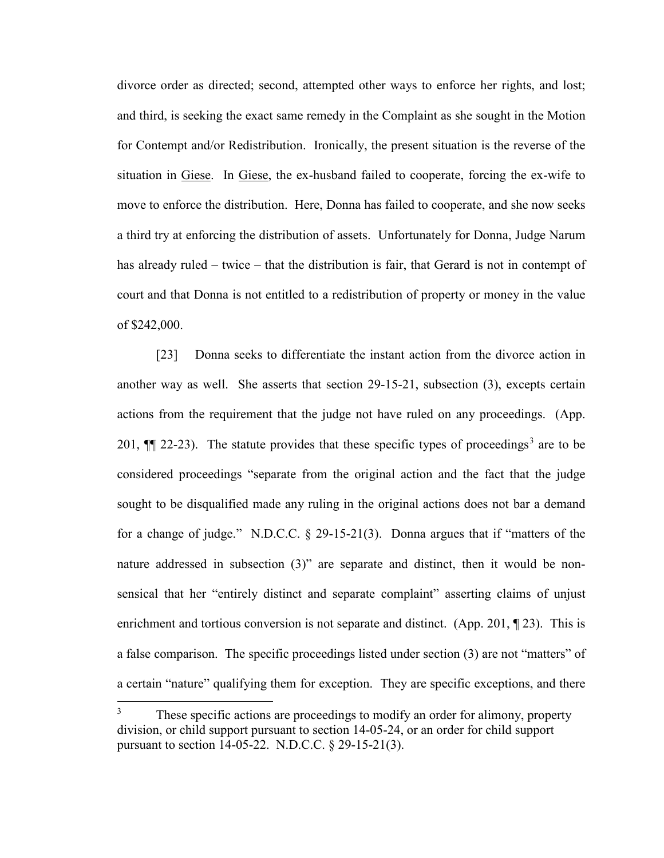divorce order as directed; second, attempted other ways to enforce her rights, and lost; and third, is seeking the exact same remedy in the Complaint as she sought in the Motion for Contempt and/or Redistribution. Ironically, the present situation is the reverse of the situation in Giese. In Giese, the ex-husband failed to cooperate, forcing the ex-wife to move to enforce the distribution. Here, Donna has failed to cooperate, and she now seeks a third try at enforcing the distribution of assets. Unfortunately for Donna, Judge Narum has already ruled – twice – that the distribution is fair, that Gerard is not in contempt of court and that Donna is not entitled to a redistribution of property or money in the value of \$242,000.

[23] Donna seeks to differentiate the instant action from the divorce action in another way as well. She asserts that section 29-15-21, subsection (3), excepts certain actions from the requirement that the judge not have ruled on any proceedings. (App. 201,  $\P$  22-2[3](#page-14-0)). The statute provides that these specific types of proceedings<sup>3</sup> are to be considered proceedings "separate from the original action and the fact that the judge sought to be disqualified made any ruling in the original actions does not bar a demand for a change of judge." N.D.C.C. § 29-15-21(3). Donna argues that if "matters of the nature addressed in subsection (3)" are separate and distinct, then it would be nonsensical that her "entirely distinct and separate complaint" asserting claims of unjust enrichment and tortious conversion is not separate and distinct. (App. 201, 123). This is a false comparison. The specific proceedings listed under section (3) are not "matters" of a certain "nature" qualifying them for exception. They are specific exceptions, and there

<span id="page-14-0"></span> $\overline{\mathbf{3}}$ These specific actions are proceedings to modify an order for alimony, property division, or child support pursuant to section 14-05-24, or an order for child support pursuant to section 14-05-22. N.D.C.C. § 29-15-21(3).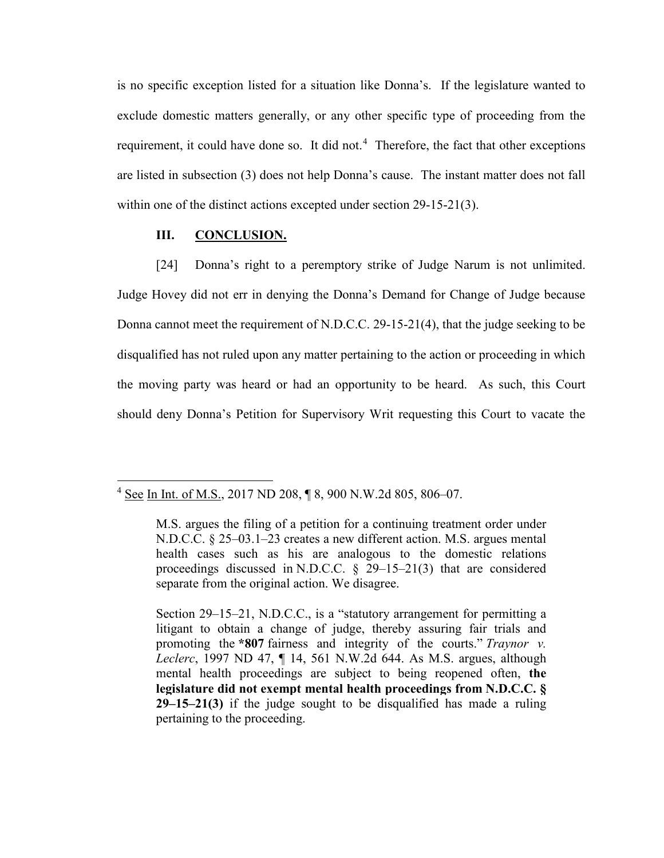is no specific exception listed for a situation like Donna's. If the legislature wanted to exclude domestic matters generally, or any other specific type of proceeding from the requirement, it could have done so. It did not.<sup>[4](#page-15-0)</sup> Therefore, the fact that other exceptions are listed in subsection (3) does not help Donna's cause. The instant matter does not fall within one of the distinct actions excepted under section 29-15-21(3).

#### **III. CONCLUSION.**

l

[24] Donna's right to a peremptory strike of Judge Narum is not unlimited. Judge Hovey did not err in denying the Donna's Demand for Change of Judge because Donna cannot meet the requirement of N.D.C.C. 29-15-21(4), that the judge seeking to be disqualified has not ruled upon any matter pertaining to the action or proceeding in which the moving party was heard or had an opportunity to be heard. As such, this Court should deny Donna's Petition for Supervisory Writ requesting this Court to vacate the

<span id="page-15-0"></span><sup>4</sup> See In Int. of M.S., 2017 ND 208, ¶ 8, 900 N.W.2d 805, 806–07.

M.S. argues the filing of a petition for a continuing treatment order under N.D.C.C. § 25–03.1–23 creates a new different action. M.S. argues mental health cases such as his are analogous to the domestic relations proceedings discussed in N.D.C.C. § 29–15–21(3) that are considered separate from the original action. We disagree.

Section 29–15–21, N.D.C.C., is a "statutory arrangement for permitting a litigant to obtain a change of judge, thereby assuring fair trials and promoting the **\*807** fairness and integrity of the courts." *Traynor v. Leclerc*, 1997 ND 47, ¶ 14, 561 N.W.2d 644. As M.S. argues, although mental health proceedings are subject to being reopened often, **the legislature did not exempt mental health proceedings from N.D.C.C. § 29–15–21(3)** if the judge sought to be disqualified has made a ruling pertaining to the proceeding.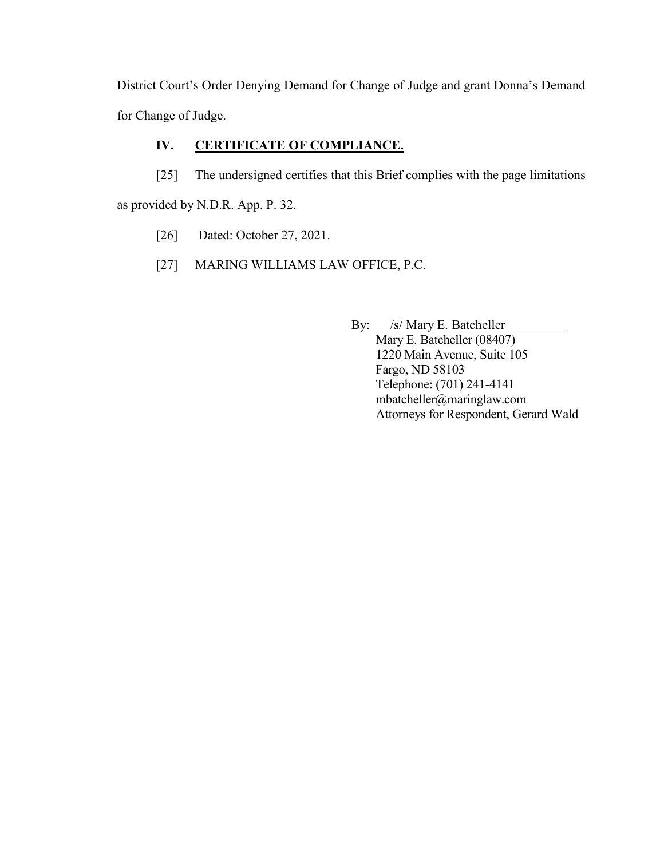District Court's Order Denying Demand for Change of Judge and grant Donna's Demand for Change of Judge.

# **IV. CERTIFICATE OF COMPLIANCE.**

[25] The undersigned certifies that this Brief complies with the page limitations

as provided by N.D.R. App. P. 32.

- [26] Dated: October 27, 2021.
- [27] MARING WILLIAMS LAW OFFICE, P.C.

By:  $\angle$  /s/ Mary E. Batcheller Mary E. Batcheller (08407) 1220 Main Avenue, Suite 105 Fargo, ND 58103 Telephone: (701) 241-4141 mbatcheller@maringlaw.com Attorneys for Respondent, Gerard Wald